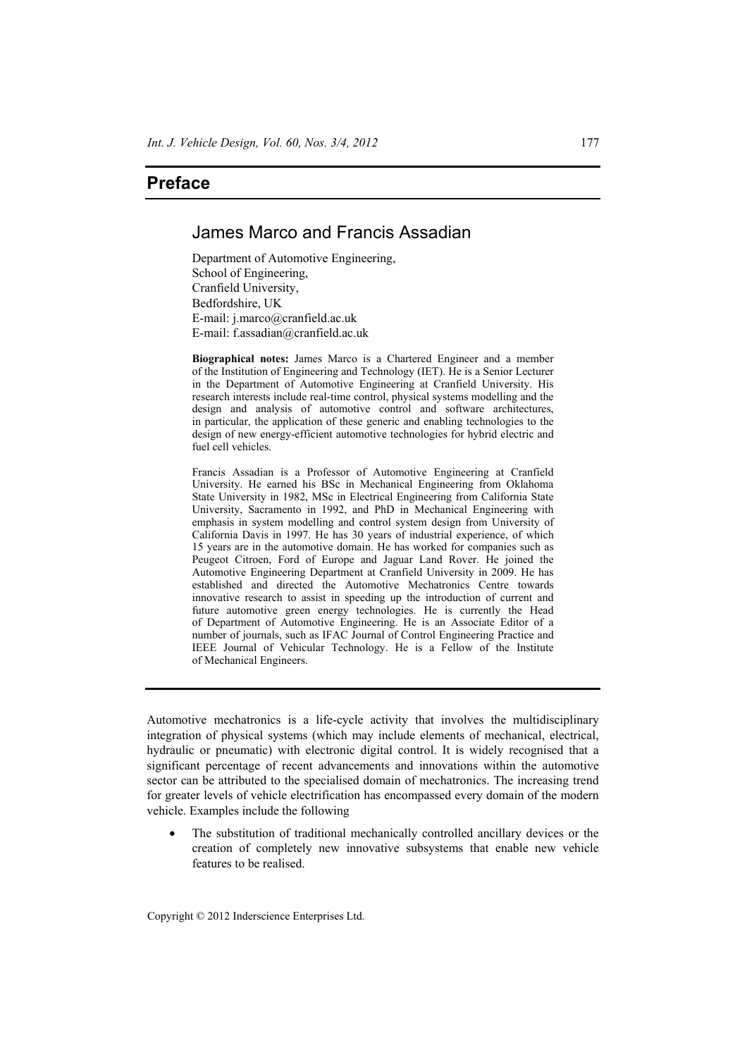## **Preface**

## James Marco and Francis Assadian

Department of Automotive Engineering, School of Engineering, Cranfield University, Bedfordshire, UK E-mail: j.marco@cranfield.ac.uk E-mail: f.assadian@cranfield.ac.uk

**Biographical notes:** James Marco is a Chartered Engineer and a member of the Institution of Engineering and Technology (IET). He is a Senior Lecturer in the Department of Automotive Engineering at Cranfield University. His research interests include real-time control, physical systems modelling and the design and analysis of automotive control and software architectures, in particular, the application of these generic and enabling technologies to the design of new energy-efficient automotive technologies for hybrid electric and fuel cell vehicles.

Francis Assadian is a Professor of Automotive Engineering at Cranfield University. He earned his BSc in Mechanical Engineering from Oklahoma State University in 1982, MSc in Electrical Engineering from California State University, Sacramento in 1992, and PhD in Mechanical Engineering with emphasis in system modelling and control system design from University of California Davis in 1997. He has 30 years of industrial experience, of which 15 years are in the automotive domain. He has worked for companies such as Peugeot Citroen, Ford of Europe and Jaguar Land Rover. He joined the Automotive Engineering Department at Cranfield University in 2009. He has established and directed the Automotive Mechatronics Centre towards innovative research to assist in speeding up the introduction of current and future automotive green energy technologies. He is currently the Head of Department of Automotive Engineering. He is an Associate Editor of a number of journals, such as IFAC Journal of Control Engineering Practice and IEEE Journal of Vehicular Technology. He is a Fellow of the Institute of Mechanical Engineers.

Automotive mechatronics is a life-cycle activity that involves the multidisciplinary integration of physical systems (which may include elements of mechanical, electrical, hydraulic or pneumatic) with electronic digital control. It is widely recognised that a significant percentage of recent advancements and innovations within the automotive sector can be attributed to the specialised domain of mechatronics. The increasing trend for greater levels of vehicle electrification has encompassed every domain of the modern vehicle. Examples include the following

The substitution of traditional mechanically controlled ancillary devices or the creation of completely new innovative subsystems that enable new vehicle features to be realised.